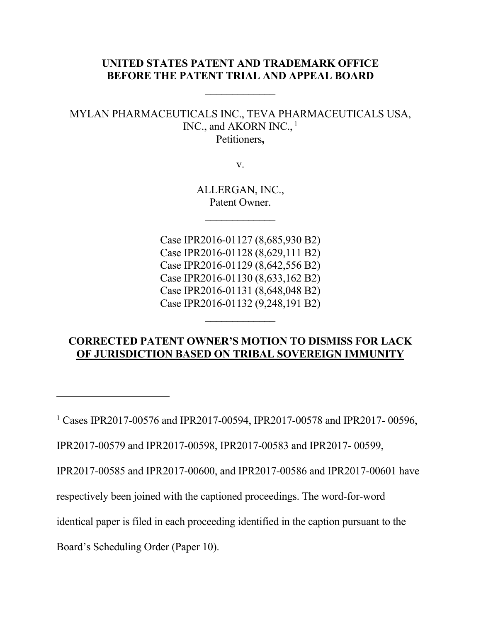# **UNITED STATES PATENT AND TRADEMARK OFFICE BEFORE THE PATENT TRIAL AND APPEAL BOARD**

 $\frac{1}{2}$ 

# MYLAN PHARMACEUTICALS INC., TEVA PHARMACEUTICALS USA, INC., and AKORN INC.,<sup>1</sup> Petitioners**,**

v.

ALLERGAN, INC., Patent Owner.

 $\frac{1}{2}$ 

Case IPR2016-01127 (8,685,930 B2) Case IPR2016-01128 (8,629,111 B2) Case IPR2016-01129 (8,642,556 B2) Case IPR2016-01130 (8,633,162 B2) Case IPR2016-01131 (8,648,048 B2) Case IPR2016-01132 (9,248,191 B2)

# **CORRECTED PATENT OWNER'S MOTION TO DISMISS FOR LACK OF JURISDICTION BASED ON TRIBAL SOVEREIGN IMMUNITY**

<sup>1</sup> Cases IPR2017-00576 and IPR2017-00594, IPR2017-00578 and IPR2017-00596,

IPR2017-00579 and IPR2017-00598, IPR2017-00583 and IPR2017- 00599,

IPR2017-00585 and IPR2017-00600, and IPR2017-00586 and IPR2017-00601 have

respectively been joined with the captioned proceedings. The word-for-word

identical paper is filed in each proceeding identified in the caption pursuant to the

Board's Scheduling Order (Paper 10).

 $\overline{a}$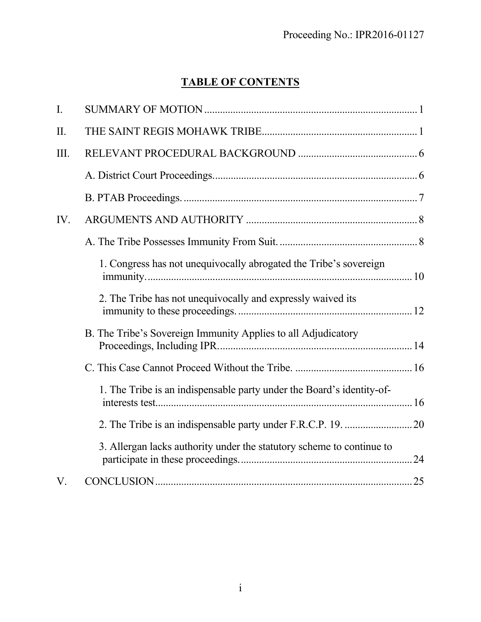# **TABLE OF CONTENTS**

| I.          |                                                                       |
|-------------|-----------------------------------------------------------------------|
| II.         |                                                                       |
| III.        |                                                                       |
|             |                                                                       |
|             |                                                                       |
| IV.         |                                                                       |
|             |                                                                       |
|             | 1. Congress has not unequivocally abrogated the Tribe's sovereign     |
|             | 2. The Tribe has not unequivocally and expressly waived its           |
|             | B. The Tribe's Sovereign Immunity Applies to all Adjudicatory         |
|             |                                                                       |
|             | 1. The Tribe is an indispensable party under the Board's identity-of- |
|             |                                                                       |
|             | 3. Allergan lacks authority under the statutory scheme to continue to |
| $V_{\cdot}$ |                                                                       |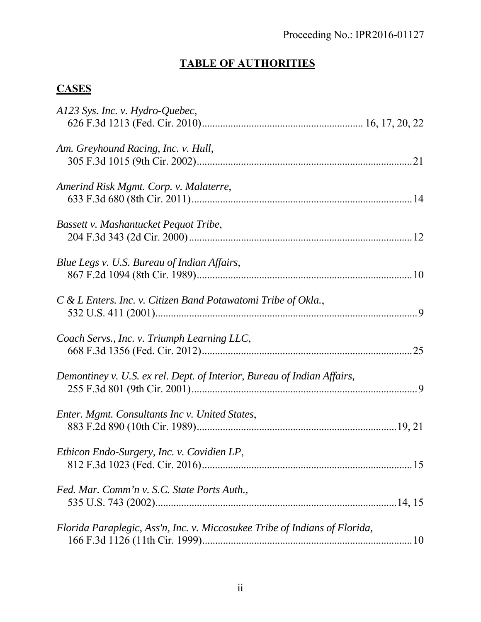# **TABLE OF AUTHORITIES**

# **CASES**

| A123 Sys. Inc. v. Hydro-Quebec,                                            |  |
|----------------------------------------------------------------------------|--|
| Am. Greyhound Racing, Inc. v. Hull,                                        |  |
| Amerind Risk Mgmt. Corp. v. Malaterre,                                     |  |
| Bassett v. Mashantucket Pequot Tribe,                                      |  |
| Blue Legs v. U.S. Bureau of Indian Affairs,                                |  |
| C & L Enters. Inc. v. Citizen Band Potawatomi Tribe of Okla.,              |  |
| Coach Servs., Inc. v. Triumph Learning LLC,                                |  |
| Demontiney v. U.S. ex rel. Dept. of Interior, Bureau of Indian Affairs,    |  |
| Enter. Mgmt. Consultants Inc v. United States,                             |  |
| Ethicon Endo-Surgery, Inc. v. Covidien LP,                                 |  |
| Fed. Mar. Comm'n v. S.C. State Ports Auth.,                                |  |
| Florida Paraplegic, Ass'n, Inc. v. Miccosukee Tribe of Indians of Florida, |  |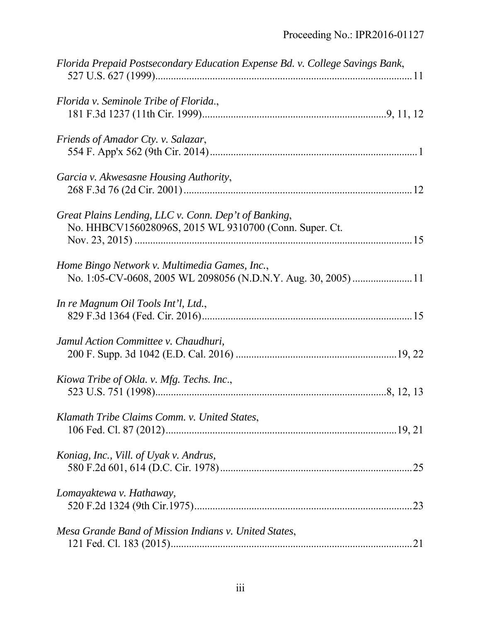| Florida Prepaid Postsecondary Education Expense Bd. v. College Savings Bank,                                   |
|----------------------------------------------------------------------------------------------------------------|
| Florida v. Seminole Tribe of Florida.,                                                                         |
| Friends of Amador Cty. v. Salazar,                                                                             |
| Garcia v. Akwesasne Housing Authority,                                                                         |
| Great Plains Lending, LLC v. Conn. Dep't of Banking,<br>No. HHBCV156028096S, 2015 WL 9310700 (Conn. Super. Ct. |
| Home Bingo Network v. Multimedia Games, Inc.,                                                                  |
| In re Magnum Oil Tools Int'l, Ltd.,                                                                            |
| Jamul Action Committee v. Chaudhuri,                                                                           |
| Kiowa Tribe of Okla. v. Mfg. Techs. Inc.,                                                                      |
| Klamath Tribe Claims Comm. v. United States,                                                                   |
| Koniag, Inc., Vill. of Uyak v. Andrus,                                                                         |
| Lomayaktewa v. Hathaway,<br>.23                                                                                |
| Mesa Grande Band of Mission Indians v. United States,                                                          |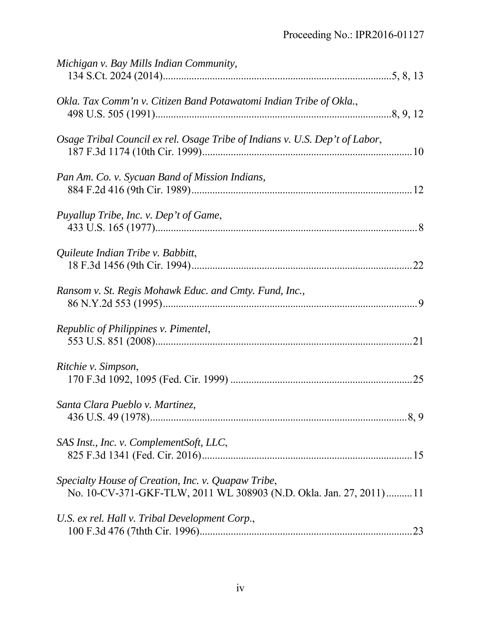| Michigan v. Bay Mills Indian Community,                                                                                  |
|--------------------------------------------------------------------------------------------------------------------------|
| Okla. Tax Comm'n v. Citizen Band Potawatomi Indian Tribe of Okla.,                                                       |
| Osage Tribal Council ex rel. Osage Tribe of Indians v. U.S. Dep't of Labor,                                              |
| Pan Am. Co. v. Sycuan Band of Mission Indians,                                                                           |
| Puyallup Tribe, Inc. v. Dep't of Game,                                                                                   |
| Quileute Indian Tribe v. Babbitt,                                                                                        |
| Ransom v. St. Regis Mohawk Educ. and Cmty. Fund, Inc.,                                                                   |
| Republic of Philippines v. Pimentel,                                                                                     |
| Ritchie v. Simpson,                                                                                                      |
| Santa Clara Pueblo v. Martinez,                                                                                          |
| SAS Inst., Inc. v. ComplementSoft, LLC,                                                                                  |
| Specialty House of Creation, Inc. v. Quapaw Tribe,<br>No. 10-CV-371-GKF-TLW, 2011 WL 308903 (N.D. Okla. Jan. 27, 2011)11 |
| U.S. ex rel. Hall v. Tribal Development Corp.,<br>.23                                                                    |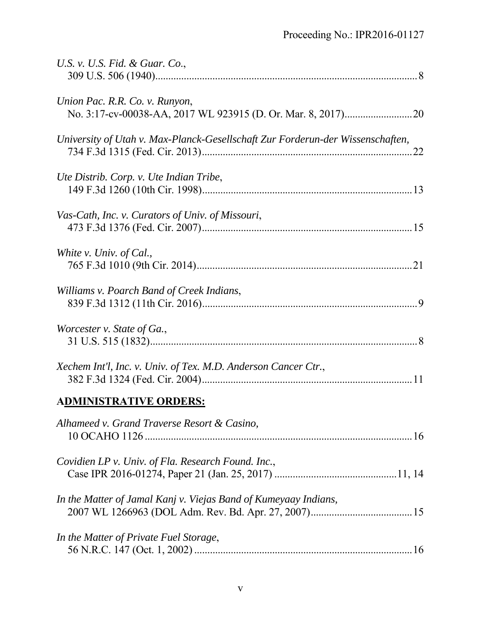| U.S. v. U.S. Fid. & Guar. Co.,                                                 |
|--------------------------------------------------------------------------------|
| Union Pac. R.R. Co. v. Runyon,                                                 |
| University of Utah v. Max-Planck-Gesellschaft Zur Forderun-der Wissenschaften, |
| Ute Distrib. Corp. v. Ute Indian Tribe,                                        |
| Vas-Cath, Inc. v. Curators of Univ. of Missouri,                               |
| White v. Univ. of Cal.,                                                        |
| Williams v. Poarch Band of Creek Indians,                                      |
| Worcester v. State of Ga.,                                                     |
| Xechem Int'l, Inc. v. Univ. of Tex. M.D. Anderson Cancer Ctr.,                 |
| <b>ADMINISTRATIVE ORDERS:</b>                                                  |
| Alhameed v. Grand Traverse Resort & Casino,                                    |
| Covidien LP v. Univ. of Fla. Research Found. Inc.,                             |
| In the Matter of Jamal Kanj v. Viejas Band of Kumeyaay Indians,                |
| In the Matter of Private Fuel Storage,                                         |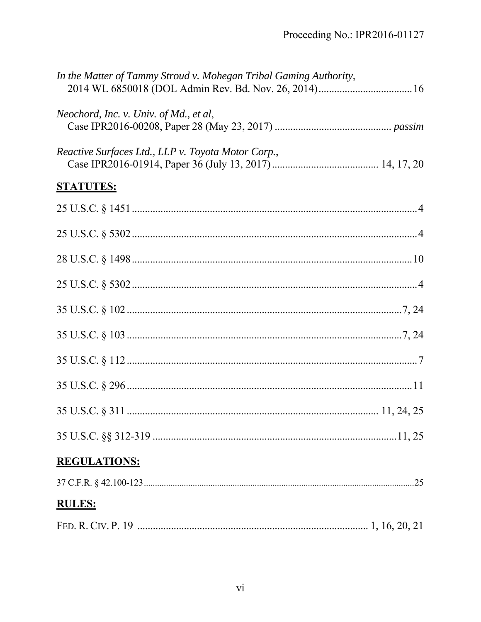| In the Matter of Tammy Stroud v. Mohegan Tribal Gaming Authority, |  |
|-------------------------------------------------------------------|--|
| Neochord, Inc. v. Univ. of Md., et al,                            |  |
| Reactive Surfaces Ltd., LLP v. Toyota Motor Corp.,                |  |
| <b>STATUTES:</b>                                                  |  |
|                                                                   |  |
|                                                                   |  |
|                                                                   |  |
|                                                                   |  |
|                                                                   |  |
|                                                                   |  |
|                                                                   |  |
|                                                                   |  |
|                                                                   |  |
|                                                                   |  |
| <b>REGULATIONS:</b>                                               |  |
|                                                                   |  |
| <b>RULES:</b>                                                     |  |
|                                                                   |  |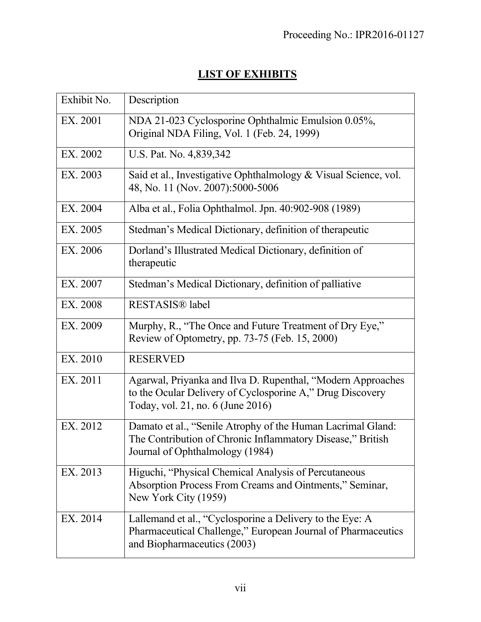# **LIST OF EXHIBITS**

| Exhibit No. | Description                                                                                                                                                   |
|-------------|---------------------------------------------------------------------------------------------------------------------------------------------------------------|
| EX. 2001    | NDA 21-023 Cyclosporine Ophthalmic Emulsion 0.05%,<br>Original NDA Filing, Vol. 1 (Feb. 24, 1999)                                                             |
| EX. 2002    | U.S. Pat. No. 4,839,342                                                                                                                                       |
| EX. 2003    | Said et al., Investigative Ophthalmology & Visual Science, vol.<br>48, No. 11 (Nov. 2007):5000-5006                                                           |
| EX. 2004    | Alba et al., Folia Ophthalmol. Jpn. 40:902-908 (1989)                                                                                                         |
| EX. 2005    | Stedman's Medical Dictionary, definition of therapeutic                                                                                                       |
| EX. 2006    | Dorland's Illustrated Medical Dictionary, definition of<br>therapeutic                                                                                        |
| EX. 2007    | Stedman's Medical Dictionary, definition of palliative                                                                                                        |
| EX. 2008    | RESTASIS® label                                                                                                                                               |
| EX. 2009    | Murphy, R., "The Once and Future Treatment of Dry Eye,"<br>Review of Optometry, pp. 73-75 (Feb. 15, 2000)                                                     |
| EX. 2010    | <b>RESERVED</b>                                                                                                                                               |
| EX. 2011    | Agarwal, Priyanka and Ilva D. Rupenthal, "Modern Approaches<br>to the Ocular Delivery of Cyclosporine A," Drug Discovery<br>Today, vol. 21, no. 6 (June 2016) |
| EX. 2012    | Damato et al., "Senile Atrophy of the Human Lacrimal Gland:<br>The Contribution of Chronic Inflammatory Disease," British<br>Journal of Ophthalmology (1984)  |
| EX. 2013    | Higuchi, "Physical Chemical Analysis of Percutaneous<br>Absorption Process From Creams and Ointments," Seminar,<br>New York City (1959)                       |
| EX. 2014    | Lallemand et al., "Cyclosporine a Delivery to the Eye: A<br>Pharmaceutical Challenge," European Journal of Pharmaceutics<br>and Biopharmaceutics (2003)       |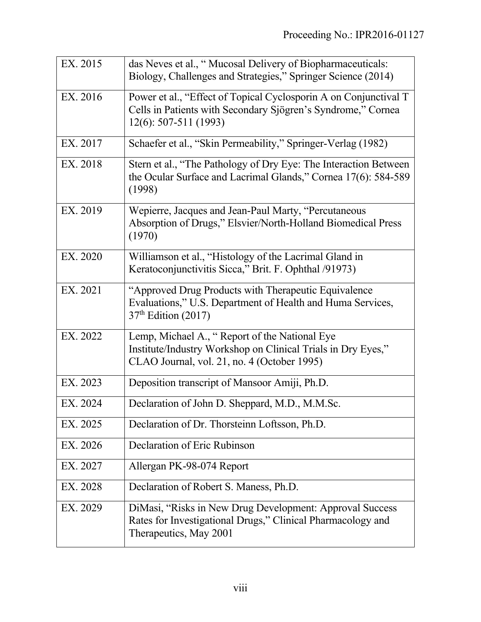| EX. 2015 | das Neves et al., "Mucosal Delivery of Biopharmaceuticals:<br>Biology, Challenges and Strategies," Springer Science (2014)                                   |
|----------|--------------------------------------------------------------------------------------------------------------------------------------------------------------|
| EX. 2016 | Power et al., "Effect of Topical Cyclosporin A on Conjunctival T<br>Cells in Patients with Secondary Sjögren's Syndrome," Cornea<br>$12(6)$ : 507-511 (1993) |
| EX. 2017 | Schaefer et al., "Skin Permeability," Springer-Verlag (1982)                                                                                                 |
| EX. 2018 | Stern et al., "The Pathology of Dry Eye: The Interaction Between<br>the Ocular Surface and Lacrimal Glands," Cornea 17(6): 584-589<br>(1998)                 |
| EX. 2019 | Wepierre, Jacques and Jean-Paul Marty, "Percutaneous<br>Absorption of Drugs," Elsvier/North-Holland Biomedical Press<br>(1970)                               |
| EX. 2020 | Williamson et al., "Histology of the Lacrimal Gland in<br>Keratoconjunctivitis Sicca," Brit. F. Ophthal /91973)                                              |
| EX. 2021 | "Approved Drug Products with Therapeutic Equivalence"<br>Evaluations," U.S. Department of Health and Huma Services,<br>37 <sup>th</sup> Edition (2017)       |
| EX. 2022 | Lemp, Michael A., "Report of the National Eye<br>Institute/Industry Workshop on Clinical Trials in Dry Eyes,"<br>CLAO Journal, vol. 21, no. 4 (October 1995) |
| EX. 2023 | Deposition transcript of Mansoor Amiji, Ph.D.                                                                                                                |
| EX. 2024 | Declaration of John D. Sheppard, M.D., M.M.Sc.                                                                                                               |
| EX. 2025 | Declaration of Dr. Thorsteinn Loftsson, Ph.D.                                                                                                                |
| EX. 2026 | Declaration of Eric Rubinson                                                                                                                                 |
| EX. 2027 | Allergan PK-98-074 Report                                                                                                                                    |
| EX. 2028 | Declaration of Robert S. Maness, Ph.D.                                                                                                                       |
| EX. 2029 | DiMasi, "Risks in New Drug Development: Approval Success<br>Rates for Investigational Drugs," Clinical Pharmacology and<br>Therapeutics, May 2001            |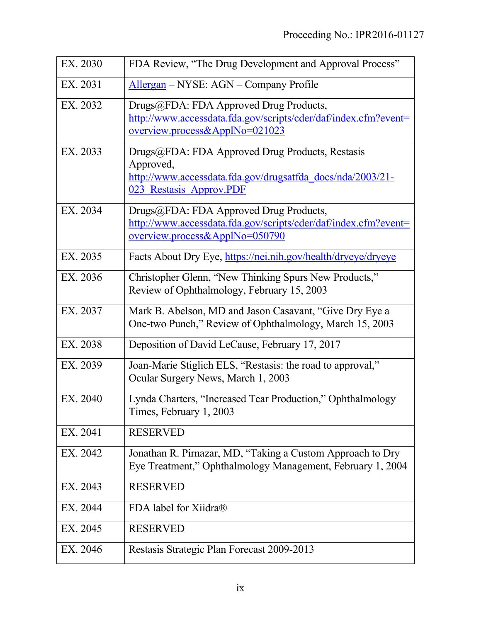| EX. 2030 | FDA Review, "The Drug Development and Approval Process"                                                                                               |
|----------|-------------------------------------------------------------------------------------------------------------------------------------------------------|
| EX. 2031 | Allergan – NYSE: AGN – Company Profile                                                                                                                |
| EX. 2032 | Drugs@FDA: FDA Approved Drug Products,<br>http://www.accessdata.fda.gov/scripts/cder/daf/index.cfm?event=<br>overview.process&ApplNo=021023           |
| EX. 2033 | Drugs@FDA: FDA Approved Drug Products, Restasis<br>Approved,<br>http://www.accessdata.fda.gov/drugsatfda_docs/nda/2003/21-<br>023 Restasis Approv.PDF |
| EX. 2034 | Drugs@FDA: FDA Approved Drug Products,<br>http://www.accessdata.fda.gov/scripts/cder/daf/index.cfm?event=<br>overview.process&ApplNo=050790           |
| EX. 2035 | Facts About Dry Eye, https://nei.nih.gov/health/dryeye/dryeye                                                                                         |
| EX. 2036 | Christopher Glenn, "New Thinking Spurs New Products,"<br>Review of Ophthalmology, February 15, 2003                                                   |
| EX. 2037 | Mark B. Abelson, MD and Jason Casavant, "Give Dry Eye a<br>One-two Punch," Review of Ophthalmology, March 15, 2003                                    |
| EX. 2038 | Deposition of David LeCause, February 17, 2017                                                                                                        |
| EX. 2039 | Joan-Marie Stiglich ELS, "Restasis: the road to approval,"<br>Ocular Surgery News, March 1, 2003                                                      |
| EX. 2040 | Lynda Charters, "Increased Tear Production," Ophthalmology<br>Times, February 1, 2003                                                                 |
| EX. 2041 | <b>RESERVED</b>                                                                                                                                       |
| EX. 2042 | Jonathan R. Pirnazar, MD, "Taking a Custom Approach to Dry<br>Eye Treatment," Ophthalmology Management, February 1, 2004                              |
| EX. 2043 | <b>RESERVED</b>                                                                                                                                       |
| EX. 2044 | FDA label for Xiidra®                                                                                                                                 |
| EX. 2045 | <b>RESERVED</b>                                                                                                                                       |
| EX. 2046 | Restasis Strategic Plan Forecast 2009-2013                                                                                                            |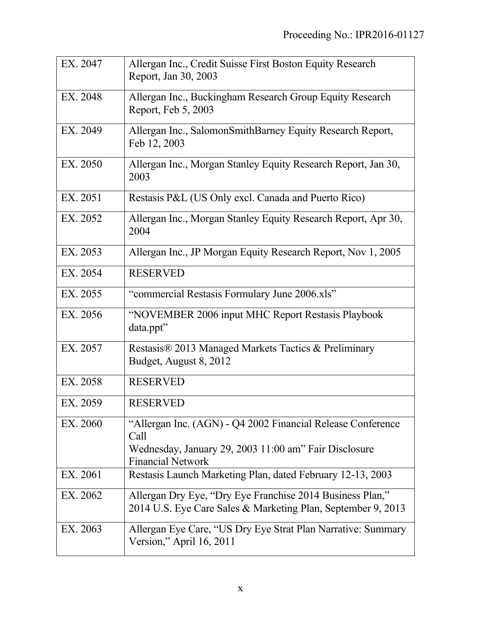| EX. 2047 | Allergan Inc., Credit Suisse First Boston Equity Research<br>Report, Jan 30, 2003                                                                        |
|----------|----------------------------------------------------------------------------------------------------------------------------------------------------------|
| EX. 2048 | Allergan Inc., Buckingham Research Group Equity Research<br>Report, Feb 5, 2003                                                                          |
| EX. 2049 | Allergan Inc., SalomonSmithBarney Equity Research Report,<br>Feb 12, 2003                                                                                |
| EX. 2050 | Allergan Inc., Morgan Stanley Equity Research Report, Jan 30,<br>2003                                                                                    |
| EX. 2051 | Restasis P&L (US Only excl. Canada and Puerto Rico)                                                                                                      |
| EX. 2052 | Allergan Inc., Morgan Stanley Equity Research Report, Apr 30,<br>2004                                                                                    |
| EX. 2053 | Allergan Inc., JP Morgan Equity Research Report, Nov 1, 2005                                                                                             |
| EX. 2054 | <b>RESERVED</b>                                                                                                                                          |
| EX. 2055 | "commercial Restasis Formulary June 2006.xls"                                                                                                            |
| EX. 2056 | "NOVEMBER 2006 input MHC Report Restasis Playbook<br>data.ppt"                                                                                           |
| EX. 2057 | Restasis® 2013 Managed Markets Tactics & Preliminary<br>Budget, August 8, 2012                                                                           |
| EX. 2058 | <b>RESERVED</b>                                                                                                                                          |
| EX. 2059 | <b>RESERVED</b>                                                                                                                                          |
| EX. 2060 | "Allergan Inc. (AGN) - Q4 2002 Financial Release Conference<br>Call<br>Wednesday, January 29, 2003 11:00 am" Fair Disclosure<br><b>Financial Network</b> |
| EX. 2061 | Restasis Launch Marketing Plan, dated February 12-13, 2003                                                                                               |
| EX. 2062 | Allergan Dry Eye, "Dry Eye Franchise 2014 Business Plan,"<br>2014 U.S. Eye Care Sales & Marketing Plan, September 9, 2013                                |
| EX. 2063 | Allergan Eye Care, "US Dry Eye Strat Plan Narrative: Summary<br>Version," April 16, 2011                                                                 |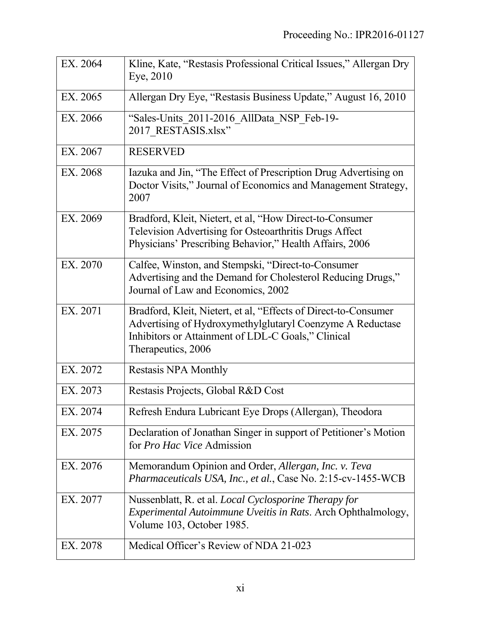| EX. 2064 | Kline, Kate, "Restasis Professional Critical Issues," Allergan Dry<br>Eye, 2010                                                                                                                          |
|----------|----------------------------------------------------------------------------------------------------------------------------------------------------------------------------------------------------------|
| EX. 2065 | Allergan Dry Eye, "Restasis Business Update," August 16, 2010                                                                                                                                            |
| EX. 2066 | "Sales-Units 2011-2016 AllData NSP Feb-19-<br>2017 RESTASIS.xlsx"                                                                                                                                        |
| EX. 2067 | <b>RESERVED</b>                                                                                                                                                                                          |
| EX. 2068 | Iazuka and Jin, "The Effect of Prescription Drug Advertising on<br>Doctor Visits," Journal of Economics and Management Strategy,<br>2007                                                                 |
| EX. 2069 | Bradford, Kleit, Nietert, et al, "How Direct-to-Consumer<br>Television Advertising for Osteoarthritis Drugs Affect<br>Physicians' Prescribing Behavior," Health Affairs, 2006                            |
| EX. 2070 | Calfee, Winston, and Stempski, "Direct-to-Consumer<br>Advertising and the Demand for Cholesterol Reducing Drugs,"<br>Journal of Law and Economics, 2002                                                  |
| EX. 2071 | Bradford, Kleit, Nietert, et al, "Effects of Direct-to-Consumer<br>Advertising of Hydroxymethylglutaryl Coenzyme A Reductase<br>Inhibitors or Attainment of LDL-C Goals," Clinical<br>Therapeutics, 2006 |
| EX. 2072 | Restasis NPA Monthly                                                                                                                                                                                     |
| EX. 2073 | Restasis Projects, Global R&D Cost                                                                                                                                                                       |
| EX. 2074 | Refresh Endura Lubricant Eye Drops (Allergan), Theodora                                                                                                                                                  |
| EX. 2075 | Declaration of Jonathan Singer in support of Petitioner's Motion<br>for Pro Hac Vice Admission                                                                                                           |
| EX. 2076 | Memorandum Opinion and Order, Allergan, Inc. v. Teva<br><i>Pharmaceuticals USA, Inc., et al., Case No. 2:15-cv-1455-WCB</i>                                                                              |
| EX. 2077 | Nussenblatt, R. et al. <i>Local Cyclosporine Therapy for</i><br><i>Experimental Autoimmune Uveitis in Rats. Arch Ophthalmology,</i><br>Volume 103, October 1985.                                         |
| EX. 2078 | Medical Officer's Review of NDA 21-023                                                                                                                                                                   |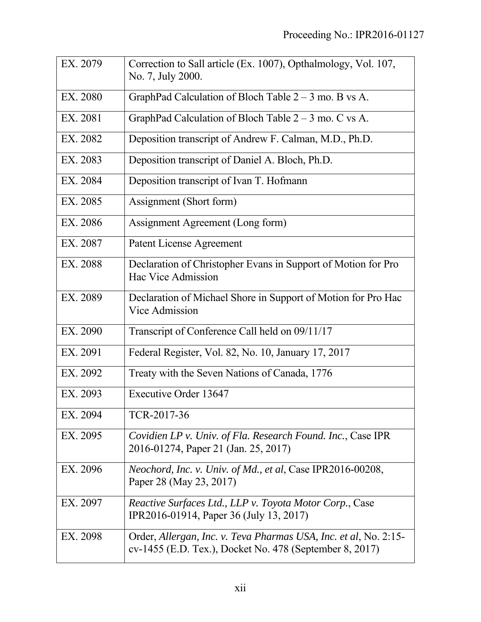| EX. 2079 | Correction to Sall article (Ex. 1007), Opthalmology, Vol. 107,<br>No. 7, July 2000.                                         |
|----------|-----------------------------------------------------------------------------------------------------------------------------|
| EX. 2080 | GraphPad Calculation of Bloch Table $2 - 3$ mo. B vs A.                                                                     |
| EX. 2081 | GraphPad Calculation of Bloch Table $2 - 3$ mo. C vs A.                                                                     |
| EX. 2082 | Deposition transcript of Andrew F. Calman, M.D., Ph.D.                                                                      |
| EX. 2083 | Deposition transcript of Daniel A. Bloch, Ph.D.                                                                             |
| EX. 2084 | Deposition transcript of Ivan T. Hofmann                                                                                    |
| EX. 2085 | Assignment (Short form)                                                                                                     |
| EX. 2086 | Assignment Agreement (Long form)                                                                                            |
| EX. 2087 | Patent License Agreement                                                                                                    |
| EX. 2088 | Declaration of Christopher Evans in Support of Motion for Pro<br>Hac Vice Admission                                         |
| EX. 2089 | Declaration of Michael Shore in Support of Motion for Pro Hac<br>Vice Admission                                             |
| EX. 2090 | Transcript of Conference Call held on 09/11/17                                                                              |
| EX. 2091 | Federal Register, Vol. 82, No. 10, January 17, 2017                                                                         |
| EX. 2092 | Treaty with the Seven Nations of Canada, 1776                                                                               |
| EX. 2093 | <b>Executive Order 13647</b>                                                                                                |
| EX. 2094 | TCR-2017-36                                                                                                                 |
| EX. 2095 | Covidien LP v. Univ. of Fla. Research Found. Inc., Case IPR<br>2016-01274, Paper 21 (Jan. 25, 2017)                         |
| EX. 2096 | <i>Neochord, Inc. v. Univ. of Md., et al, Case IPR2016-00208,</i><br>Paper 28 (May 23, 2017)                                |
| EX. 2097 | Reactive Surfaces Ltd., LLP v. Toyota Motor Corp., Case<br>IPR2016-01914, Paper 36 (July 13, 2017)                          |
| EX. 2098 | Order, Allergan, Inc. v. Teva Pharmas USA, Inc. et al, No. 2:15-<br>cv-1455 (E.D. Tex.), Docket No. 478 (September 8, 2017) |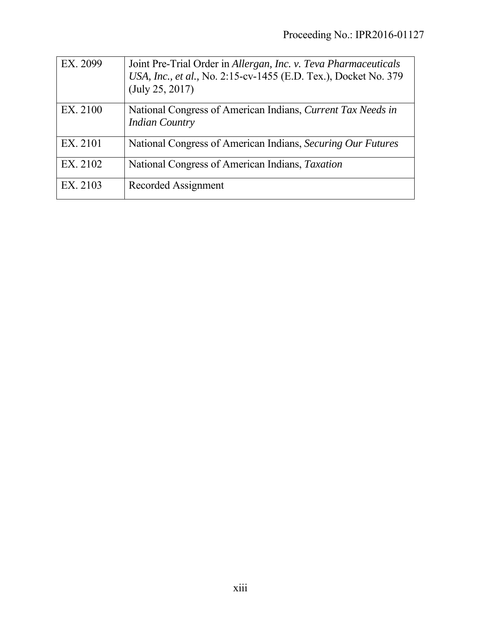| EX. 2099 | Joint Pre-Trial Order in Allergan, Inc. v. Teva Pharmaceuticals<br>USA, Inc., et al., No. 2:15-cv-1455 (E.D. Tex.), Docket No. 379<br>(July 25, 2017) |
|----------|-------------------------------------------------------------------------------------------------------------------------------------------------------|
| EX. 2100 | National Congress of American Indians, Current Tax Needs in<br><b>Indian Country</b>                                                                  |
| EX. 2101 | National Congress of American Indians, Securing Our Futures                                                                                           |
| EX. 2102 | National Congress of American Indians, Taxation                                                                                                       |
| EX. 2103 | Recorded Assignment                                                                                                                                   |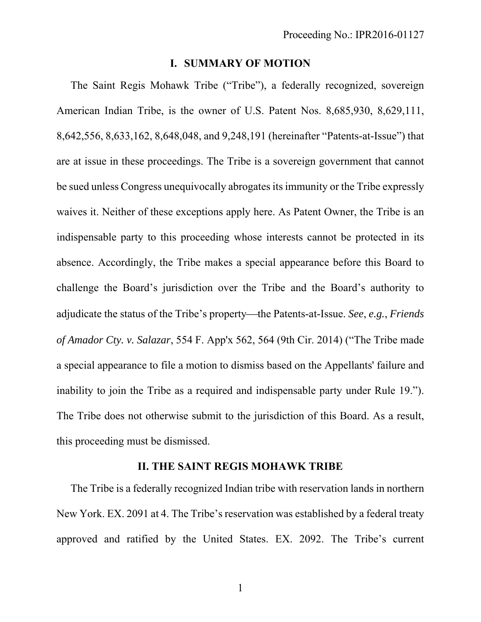### **I. SUMMARY OF MOTION**

The Saint Regis Mohawk Tribe ("Tribe"), a federally recognized, sovereign American Indian Tribe, is the owner of U.S. Patent Nos. 8,685,930, 8,629,111, 8,642,556, 8,633,162, 8,648,048, and 9,248,191 (hereinafter "Patents-at-Issue") that are at issue in these proceedings. The Tribe is a sovereign government that cannot be sued unless Congress unequivocally abrogates its immunity or the Tribe expressly waives it. Neither of these exceptions apply here. As Patent Owner, the Tribe is an indispensable party to this proceeding whose interests cannot be protected in its absence. Accordingly, the Tribe makes a special appearance before this Board to challenge the Board's jurisdiction over the Tribe and the Board's authority to adjudicate the status of the Tribe's property—the Patents-at-Issue. *See*, *e.g.*, *Friends of Amador Cty. v. Salazar*, 554 F. App'x 562, 564 (9th Cir. 2014) ("The Tribe made a special appearance to file a motion to dismiss based on the Appellants' failure and inability to join the Tribe as a required and indispensable party under Rule 19."). The Tribe does not otherwise submit to the jurisdiction of this Board. As a result, this proceeding must be dismissed.

### **II. THE SAINT REGIS MOHAWK TRIBE**

The Tribe is a federally recognized Indian tribe with reservation lands in northern New York. EX. 2091 at 4. The Tribe's reservation was established by a federal treaty approved and ratified by the United States. EX. 2092. The Tribe's current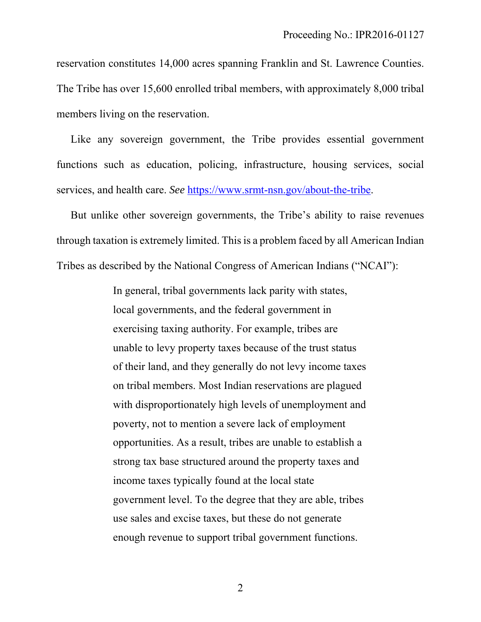reservation constitutes 14,000 acres spanning Franklin and St. Lawrence Counties. The Tribe has over 15,600 enrolled tribal members, with approximately 8,000 tribal members living on the reservation.

Like any sovereign government, the Tribe provides essential government functions such as education, policing, infrastructure, housing services, social services, and health care. *See* https://www.srmt-nsn.gov/about-the-tribe.

But unlike other sovereign governments, the Tribe's ability to raise revenues through taxation is extremely limited. This is a problem faced by all American Indian Tribes as described by the National Congress of American Indians ("NCAI"):

> In general, tribal governments lack parity with states, local governments, and the federal government in exercising taxing authority. For example, tribes are unable to levy property taxes because of the trust status of their land, and they generally do not levy income taxes on tribal members. Most Indian reservations are plagued with disproportionately high levels of unemployment and poverty, not to mention a severe lack of employment opportunities. As a result, tribes are unable to establish a strong tax base structured around the property taxes and income taxes typically found at the local state government level. To the degree that they are able, tribes use sales and excise taxes, but these do not generate enough revenue to support tribal government functions.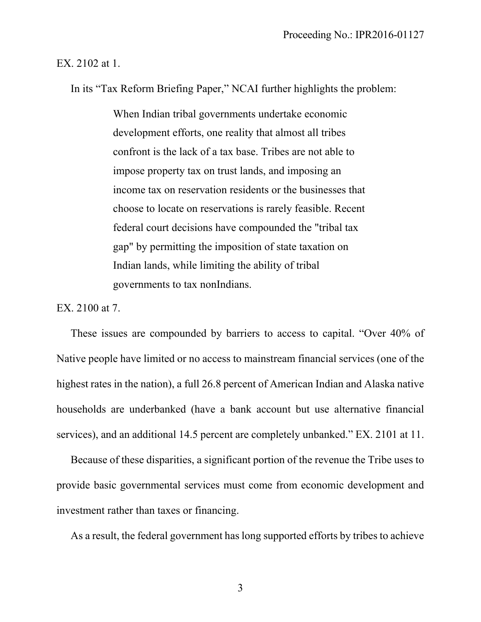#### EX. 2102 at 1.

In its "Tax Reform Briefing Paper," NCAI further highlights the problem:

When Indian tribal governments undertake economic development efforts, one reality that almost all tribes confront is the lack of a tax base. Tribes are not able to impose property tax on trust lands, and imposing an income tax on reservation residents or the businesses that choose to locate on reservations is rarely feasible. Recent federal court decisions have compounded the "tribal tax gap" by permitting the imposition of state taxation on Indian lands, while limiting the ability of tribal governments to tax nonIndians.

EX. 2100 at 7.

These issues are compounded by barriers to access to capital. "Over 40% of Native people have limited or no access to mainstream financial services (one of the highest rates in the nation), a full 26.8 percent of American Indian and Alaska native households are underbanked (have a bank account but use alternative financial services), and an additional 14.5 percent are completely unbanked." EX. 2101 at 11.

Because of these disparities, a significant portion of the revenue the Tribe uses to provide basic governmental services must come from economic development and investment rather than taxes or financing.

As a result, the federal government has long supported efforts by tribes to achieve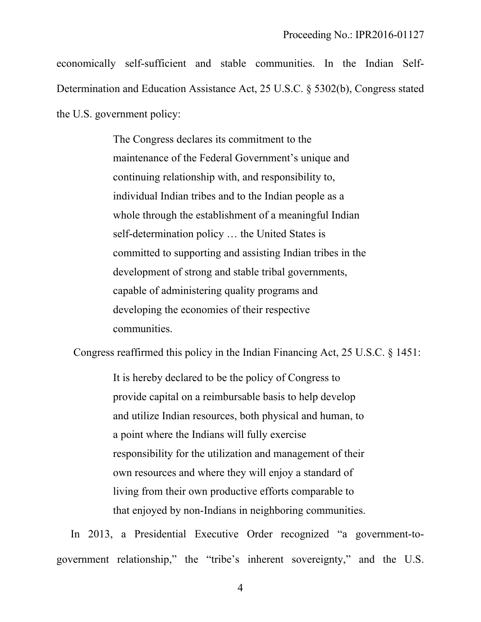economically self-sufficient and stable communities. In the Indian Self-Determination and Education Assistance Act, 25 U.S.C. § 5302(b), Congress stated the U.S. government policy:

> The Congress declares its commitment to the maintenance of the Federal Government's unique and continuing relationship with, and responsibility to, individual Indian tribes and to the Indian people as a whole through the establishment of a meaningful Indian self-determination policy … the United States is committed to supporting and assisting Indian tribes in the development of strong and stable tribal governments, capable of administering quality programs and developing the economies of their respective communities.

Congress reaffirmed this policy in the Indian Financing Act, 25 U.S.C. § 1451:

It is hereby declared to be the policy of Congress to provide capital on a reimbursable basis to help develop and utilize Indian resources, both physical and human, to a point where the Indians will fully exercise responsibility for the utilization and management of their own resources and where they will enjoy a standard of living from their own productive efforts comparable to that enjoyed by non-Indians in neighboring communities.

In 2013, a Presidential Executive Order recognized "a government-togovernment relationship," the "tribe's inherent sovereignty," and the U.S.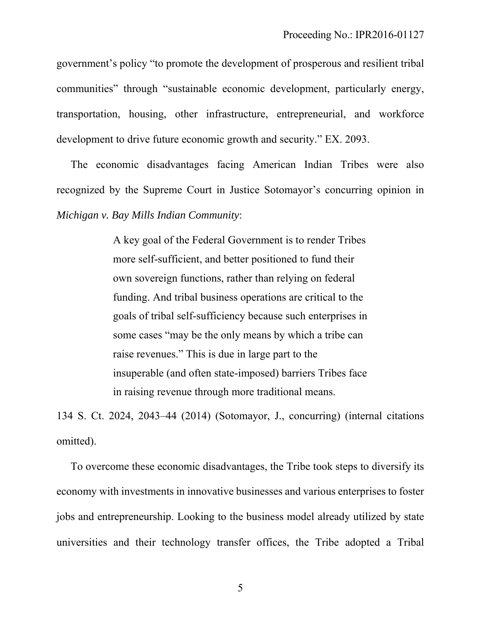government's policy "to promote the development of prosperous and resilient tribal communities" through "sustainable economic development, particularly energy, transportation, housing, other infrastructure, entrepreneurial, and workforce development to drive future economic growth and security." EX. 2093.

The economic disadvantages facing American Indian Tribes were also recognized by the Supreme Court in Justice Sotomayor's concurring opinion in *Michigan v. Bay Mills Indian Community*:

> A key goal of the Federal Government is to render Tribes more self-sufficient, and better positioned to fund their own sovereign functions, rather than relying on federal funding. And tribal business operations are critical to the goals of tribal self-sufficiency because such enterprises in some cases "may be the only means by which a tribe can raise revenues." This is due in large part to the insuperable (and often state-imposed) barriers Tribes face in raising revenue through more traditional means.

134 S. Ct. 2024, 2043–44 (2014) (Sotomayor, J., concurring) (internal citations omitted).

To overcome these economic disadvantages, the Tribe took steps to diversify its economy with investments in innovative businesses and various enterprises to foster jobs and entrepreneurship. Looking to the business model already utilized by state universities and their technology transfer offices, the Tribe adopted a Tribal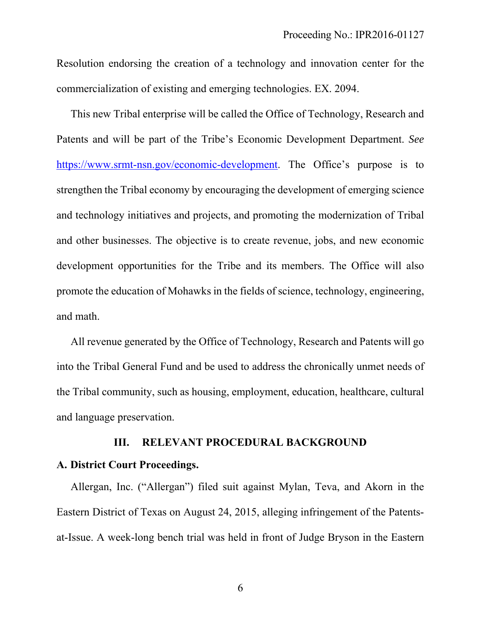Resolution endorsing the creation of a technology and innovation center for the commercialization of existing and emerging technologies. EX. 2094.

This new Tribal enterprise will be called the Office of Technology, Research and Patents and will be part of the Tribe's Economic Development Department. *See* https://www.srmt-nsn.gov/economic-development. The Office's purpose is to strengthen the Tribal economy by encouraging the development of emerging science and technology initiatives and projects, and promoting the modernization of Tribal and other businesses. The objective is to create revenue, jobs, and new economic development opportunities for the Tribe and its members. The Office will also promote the education of Mohawks in the fields of science, technology, engineering, and math.

All revenue generated by the Office of Technology, Research and Patents will go into the Tribal General Fund and be used to address the chronically unmet needs of the Tribal community, such as housing, employment, education, healthcare, cultural and language preservation.

### **III. RELEVANT PROCEDURAL BACKGROUND**

### **A. District Court Proceedings.**

Allergan, Inc. ("Allergan") filed suit against Mylan, Teva, and Akorn in the Eastern District of Texas on August 24, 2015, alleging infringement of the Patentsat-Issue. A week-long bench trial was held in front of Judge Bryson in the Eastern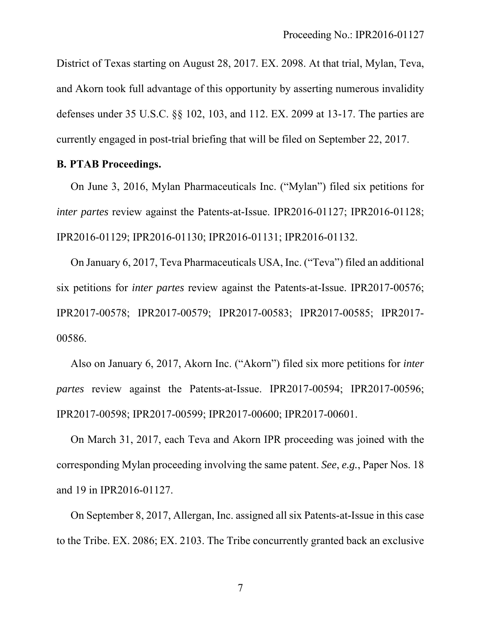District of Texas starting on August 28, 2017. EX. 2098. At that trial, Mylan, Teva, and Akorn took full advantage of this opportunity by asserting numerous invalidity defenses under 35 U.S.C. §§ 102, 103, and 112. EX. 2099 at 13-17. The parties are currently engaged in post-trial briefing that will be filed on September 22, 2017.

## **B. PTAB Proceedings.**

On June 3, 2016, Mylan Pharmaceuticals Inc. ("Mylan") filed six petitions for *inter partes review against the Patents-at-Issue. IPR2016-01127; IPR2016-01128;* IPR2016-01129; IPR2016-01130; IPR2016-01131; IPR2016-01132.

On January 6, 2017, Teva Pharmaceuticals USA, Inc. ("Teva") filed an additional six petitions for *inter partes* review against the Patents-at-Issue. IPR2017-00576; IPR2017-00578; IPR2017-00579; IPR2017-00583; IPR2017-00585; IPR2017- 00586.

Also on January 6, 2017, Akorn Inc. ("Akorn") filed six more petitions for *inter partes* review against the Patents-at-Issue. IPR2017-00594; IPR2017-00596; IPR2017-00598; IPR2017-00599; IPR2017-00600; IPR2017-00601.

On March 31, 2017, each Teva and Akorn IPR proceeding was joined with the corresponding Mylan proceeding involving the same patent. *See*, *e.g.*, Paper Nos. 18 and 19 in IPR2016-01127.

On September 8, 2017, Allergan, Inc. assigned all six Patents-at-Issue in this case to the Tribe. EX. 2086; EX. 2103. The Tribe concurrently granted back an exclusive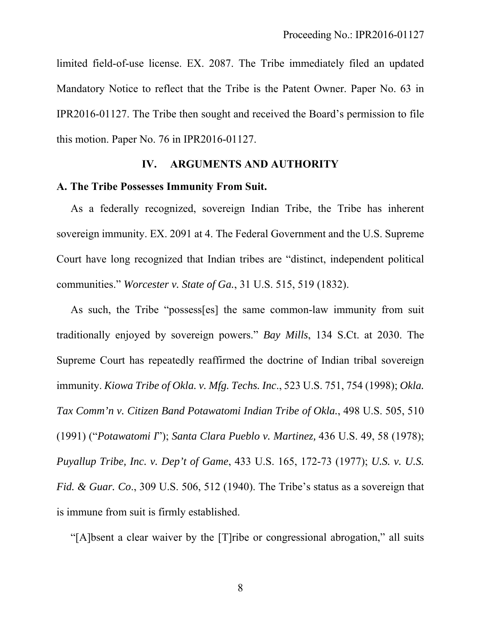limited field-of-use license. EX. 2087. The Tribe immediately filed an updated Mandatory Notice to reflect that the Tribe is the Patent Owner. Paper No. 63 in IPR2016-01127. The Tribe then sought and received the Board's permission to file this motion. Paper No. 76 in IPR2016-01127.

### **IV. ARGUMENTS AND AUTHORITY**

### **A. The Tribe Possesses Immunity From Suit.**

As a federally recognized, sovereign Indian Tribe, the Tribe has inherent sovereign immunity. EX. 2091 at 4. The Federal Government and the U.S. Supreme Court have long recognized that Indian tribes are "distinct, independent political communities." *Worcester v. State of Ga.*, 31 U.S. 515, 519 (1832).

As such, the Tribe "possess[es] the same common-law immunity from suit traditionally enjoyed by sovereign powers." *Bay Mills*, 134 S.Ct. at 2030. The Supreme Court has repeatedly reaffirmed the doctrine of Indian tribal sovereign immunity. *Kiowa Tribe of Okla. v. Mfg. Techs. Inc*., 523 U.S. 751, 754 (1998); *Okla. Tax Comm'n v. Citizen Band Potawatomi Indian Tribe of Okla.*, 498 U.S. 505, 510 (1991) ("*Potawatomi I*"); *Santa Clara Pueblo v. Martinez,* 436 U.S. 49, 58 (1978); *Puyallup Tribe, Inc. v. Dep't of Game*, 433 U.S. 165, 172-73 (1977); *U.S. v. U.S. Fid. & Guar. Co*., 309 U.S. 506, 512 (1940). The Tribe's status as a sovereign that is immune from suit is firmly established.

"[A]bsent a clear waiver by the [T]ribe or congressional abrogation," all suits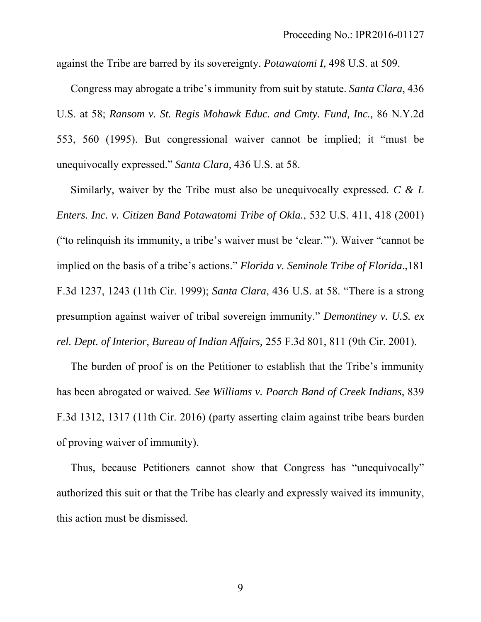against the Tribe are barred by its sovereignty. *Potawatomi I,* 498 U.S. at 509.

Congress may abrogate a tribe's immunity from suit by statute. *Santa Clara*, 436 U.S. at 58; *Ransom v. St. Regis Mohawk Educ. and Cmty. Fund, Inc.,* 86 N.Y.2d 553, 560 (1995). But congressional waiver cannot be implied; it "must be unequivocally expressed." *Santa Clara,* 436 U.S. at 58.

Similarly, waiver by the Tribe must also be unequivocally expressed. *C & L Enters. Inc. v. Citizen Band Potawatomi Tribe of Okla.*, 532 U.S. 411, 418 (2001) ("to relinquish its immunity, a tribe's waiver must be 'clear.'"). Waiver "cannot be implied on the basis of a tribe's actions." *Florida v. Seminole Tribe of Florida*.,181 F.3d 1237, 1243 (11th Cir. 1999); *Santa Clara*, 436 U.S. at 58. "There is a strong presumption against waiver of tribal sovereign immunity." *Demontiney v. U.S. ex rel. Dept. of Interior, Bureau of Indian Affairs,* 255 F.3d 801, 811 (9th Cir. 2001).

The burden of proof is on the Petitioner to establish that the Tribe's immunity has been abrogated or waived. *See Williams v. Poarch Band of Creek Indians*, 839 F.3d 1312, 1317 (11th Cir. 2016) (party asserting claim against tribe bears burden of proving waiver of immunity).

Thus, because Petitioners cannot show that Congress has "unequivocally" authorized this suit or that the Tribe has clearly and expressly waived its immunity, this action must be dismissed.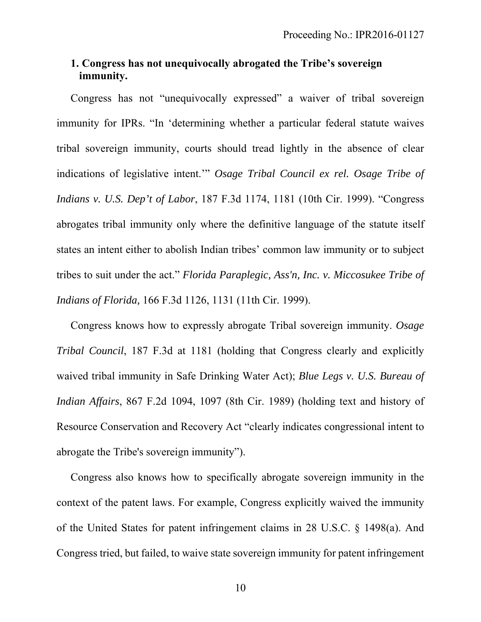# **1. Congress has not unequivocally abrogated the Tribe's sovereign immunity.**

Congress has not "unequivocally expressed" a waiver of tribal sovereign immunity for IPRs. "In 'determining whether a particular federal statute waives tribal sovereign immunity, courts should tread lightly in the absence of clear indications of legislative intent.'" *Osage Tribal Council ex rel. Osage Tribe of Indians v. U.S. Dep't of Labor*, 187 F.3d 1174, 1181 (10th Cir. 1999). "Congress abrogates tribal immunity only where the definitive language of the statute itself states an intent either to abolish Indian tribes' common law immunity or to subject tribes to suit under the act." *Florida Paraplegic, Ass'n, Inc. v. Miccosukee Tribe of Indians of Florida,* 166 F.3d 1126, 1131 (11th Cir. 1999).

Congress knows how to expressly abrogate Tribal sovereign immunity. *Osage Tribal Council*, 187 F.3d at 1181 (holding that Congress clearly and explicitly waived tribal immunity in Safe Drinking Water Act); *Blue Legs v. U.S. Bureau of Indian Affairs*, 867 F.2d 1094, 1097 (8th Cir. 1989) (holding text and history of Resource Conservation and Recovery Act "clearly indicates congressional intent to abrogate the Tribe's sovereign immunity").

Congress also knows how to specifically abrogate sovereign immunity in the context of the patent laws. For example, Congress explicitly waived the immunity of the United States for patent infringement claims in 28 U.S.C. § 1498(a). And Congress tried, but failed, to waive state sovereign immunity for patent infringement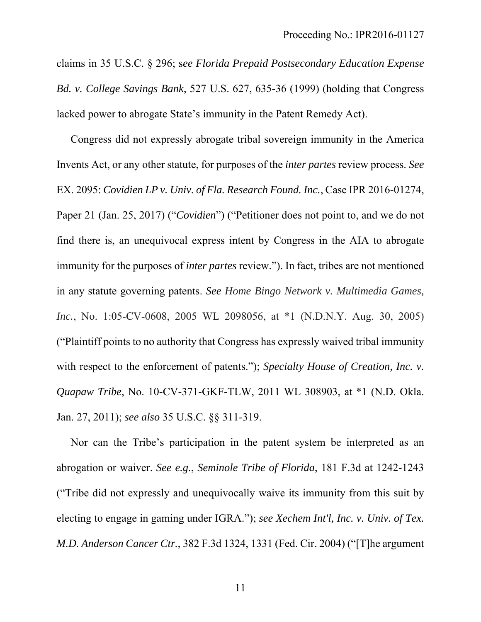claims in 35 U.S.C. § 296; s*ee Florida Prepaid Postsecondary Education Expense Bd. v. College Savings Bank*, 527 U.S. 627, 635-36 (1999) (holding that Congress lacked power to abrogate State's immunity in the Patent Remedy Act).

Congress did not expressly abrogate tribal sovereign immunity in the America Invents Act, or any other statute, for purposes of the *inter partes* review process. *See*  EX. 2095: *Covidien LP v. Univ. of Fla. Research Found. Inc.*, Case IPR 2016-01274, Paper 21 (Jan. 25, 2017) ("*Covidien*") ("Petitioner does not point to, and we do not find there is, an unequivocal express intent by Congress in the AIA to abrogate immunity for the purposes of *inter partes* review."). In fact, tribes are not mentioned in any statute governing patents. *See Home Bingo Network v. Multimedia Games, Inc.*, No. 1:05-CV-0608, 2005 WL 2098056, at \*1 (N.D.N.Y. Aug. 30, 2005) ("Plaintiff points to no authority that Congress has expressly waived tribal immunity with respect to the enforcement of patents."); *Specialty House of Creation, Inc. v. Quapaw Tribe*, No. 10-CV-371-GKF-TLW, 2011 WL 308903, at \*1 (N.D. Okla. Jan. 27, 2011); *see also* 35 U.S.C. §§ 311-319.

Nor can the Tribe's participation in the patent system be interpreted as an abrogation or waiver. *See e.g.*, *Seminole Tribe of Florida*, 181 F.3d at 1242-1243 ("Tribe did not expressly and unequivocally waive its immunity from this suit by electing to engage in gaming under IGRA."); *see Xechem Int'l, Inc. v. Univ. of Tex. M.D. Anderson Cancer Ctr.*, 382 F.3d 1324, 1331 (Fed. Cir. 2004) ("[T]he argument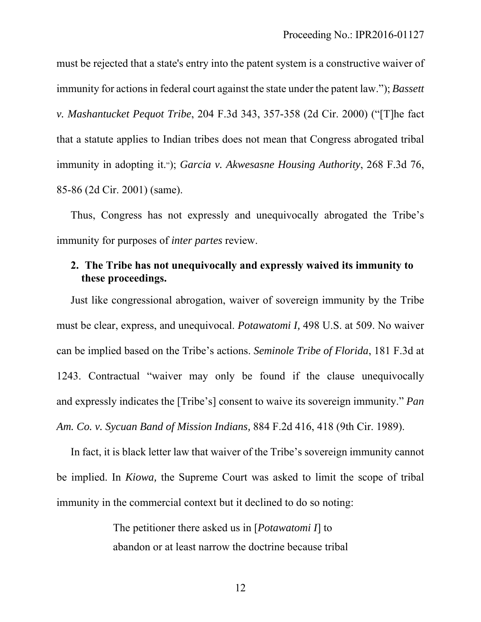must be rejected that a state's entry into the patent system is a constructive waiver of immunity for actions in federal court against the state under the patent law."); *Bassett v. Mashantucket Pequot Tribe*, 204 F.3d 343, 357-358 (2d Cir. 2000) ("[T]he fact that a statute applies to Indian tribes does not mean that Congress abrogated tribal immunity in adopting it."); *Garcia v. Akwesasne Housing Authority*, 268 F.3d 76, 85-86 (2d Cir. 2001) (same).

Thus, Congress has not expressly and unequivocally abrogated the Tribe's immunity for purposes of *inter partes* review.

# **2. The Tribe has not unequivocally and expressly waived its immunity to these proceedings.**

Just like congressional abrogation, waiver of sovereign immunity by the Tribe must be clear, express, and unequivocal. *Potawatomi I,* 498 U.S. at 509. No waiver can be implied based on the Tribe's actions. *Seminole Tribe of Florida*, 181 F.3d at 1243. Contractual "waiver may only be found if the clause unequivocally and expressly indicates the [Tribe's] consent to waive its sovereign immunity." *Pan Am. Co. v. Sycuan Band of Mission Indians,* 884 F.2d 416, 418 (9th Cir. 1989).

In fact, it is black letter law that waiver of the Tribe's sovereign immunity cannot be implied. In *Kiowa,* the Supreme Court was asked to limit the scope of tribal immunity in the commercial context but it declined to do so noting:

> The petitioner there asked us in [*Potawatomi I*] to abandon or at least narrow the doctrine because tribal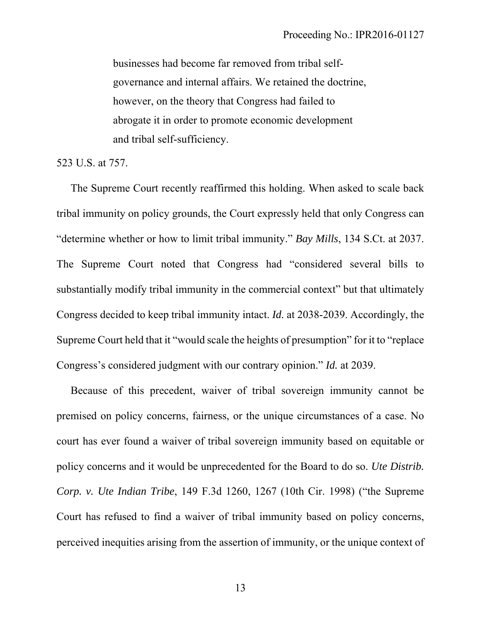businesses had become far removed from tribal selfgovernance and internal affairs. We retained the doctrine, however, on the theory that Congress had failed to abrogate it in order to promote economic development and tribal self-sufficiency.

523 U.S. at 757.

The Supreme Court recently reaffirmed this holding. When asked to scale back tribal immunity on policy grounds, the Court expressly held that only Congress can "determine whether or how to limit tribal immunity." *Bay Mills*, 134 S.Ct. at 2037. The Supreme Court noted that Congress had "considered several bills to substantially modify tribal immunity in the commercial context" but that ultimately Congress decided to keep tribal immunity intact. *Id.* at 2038-2039. Accordingly, the Supreme Court held that it "would scale the heights of presumption" for it to "replace Congress's considered judgment with our contrary opinion." *Id.* at 2039.

Because of this precedent, waiver of tribal sovereign immunity cannot be premised on policy concerns, fairness, or the unique circumstances of a case. No court has ever found a waiver of tribal sovereign immunity based on equitable or policy concerns and it would be unprecedented for the Board to do so. *Ute Distrib. Corp. v. Ute Indian Tribe*, 149 F.3d 1260, 1267 (10th Cir. 1998) ("the Supreme Court has refused to find a waiver of tribal immunity based on policy concerns, perceived inequities arising from the assertion of immunity, or the unique context of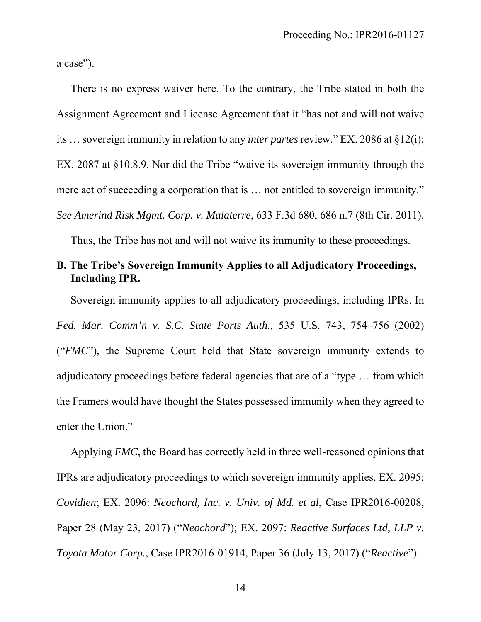a case").

There is no express waiver here. To the contrary, the Tribe stated in both the Assignment Agreement and License Agreement that it "has not and will not waive its … sovereign immunity in relation to any *inter partes* review." EX. 2086 at §12(i); EX. 2087 at §10.8.9. Nor did the Tribe "waive its sovereign immunity through the mere act of succeeding a corporation that is … not entitled to sovereign immunity." *See Amerind Risk Mgmt. Corp. v. Malaterre*, 633 F.3d 680, 686 n.7 (8th Cir. 2011).

Thus, the Tribe has not and will not waive its immunity to these proceedings.

# **B. The Tribe's Sovereign Immunity Applies to all Adjudicatory Proceedings, Including IPR.**

Sovereign immunity applies to all adjudicatory proceedings, including IPRs. In *Fed. Mar. Comm'n v. S.C. State Ports Auth.,* 535 U.S. 743, 754–756 (2002) ("*FMC*"), the Supreme Court held that State sovereign immunity extends to adjudicatory proceedings before federal agencies that are of a "type … from which the Framers would have thought the States possessed immunity when they agreed to enter the Union."

Applying *FMC*, the Board has correctly held in three well-reasoned opinions that IPRs are adjudicatory proceedings to which sovereign immunity applies. EX. 2095: *Covidien*; EX. 2096: *Neochord, Inc. v. Univ. of Md. et al*, Case IPR2016-00208, Paper 28 (May 23, 2017) ("*Neochord*"); EX. 2097: *Reactive Surfaces Ltd, LLP v. Toyota Motor Corp.*, Case IPR2016-01914, Paper 36 (July 13, 2017) ("*Reactive*").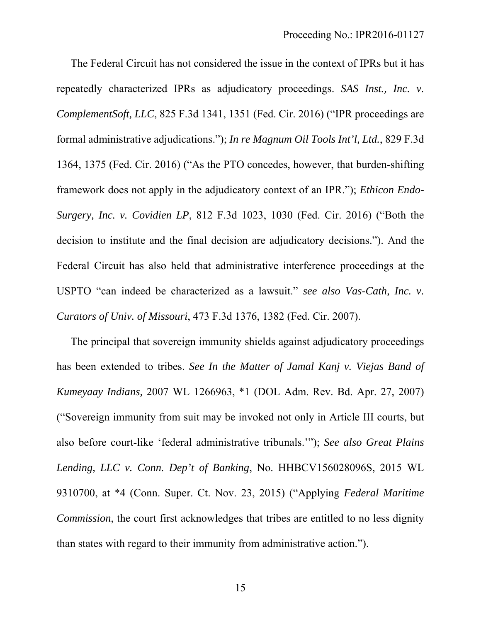The Federal Circuit has not considered the issue in the context of IPRs but it has repeatedly characterized IPRs as adjudicatory proceedings. *SAS Inst., Inc. v. ComplementSoft, LLC*, 825 F.3d 1341, 1351 (Fed. Cir. 2016) ("IPR proceedings are formal administrative adjudications."); *In re Magnum Oil Tools Int'l, Ltd.*, 829 F.3d 1364, 1375 (Fed. Cir. 2016) ("As the PTO concedes, however, that burden-shifting framework does not apply in the adjudicatory context of an IPR."); *Ethicon Endo-Surgery, Inc. v. Covidien LP*, 812 F.3d 1023, 1030 (Fed. Cir. 2016) ("Both the decision to institute and the final decision are adjudicatory decisions."). And the Federal Circuit has also held that administrative interference proceedings at the USPTO "can indeed be characterized as a lawsuit." *see also Vas-Cath, Inc. v. Curators of Univ. of Missouri*, 473 F.3d 1376, 1382 (Fed. Cir. 2007).

The principal that sovereign immunity shields against adjudicatory proceedings has been extended to tribes. *See In the Matter of Jamal Kanj v. Viejas Band of Kumeyaay Indians,* 2007 WL 1266963, \*1 (DOL Adm. Rev. Bd. Apr. 27, 2007) ("Sovereign immunity from suit may be invoked not only in Article III courts, but also before court-like 'federal administrative tribunals.'"); *See also Great Plains Lending, LLC v. Conn. Dep't of Banking*, No. HHBCV156028096S, 2015 WL 9310700, at \*4 (Conn. Super. Ct. Nov. 23, 2015) ("Applying *Federal Maritime Commission*, the court first acknowledges that tribes are entitled to no less dignity than states with regard to their immunity from administrative action.").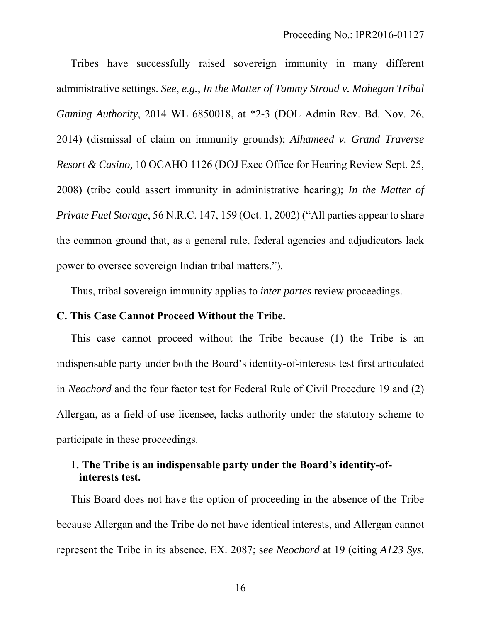Tribes have successfully raised sovereign immunity in many different administrative settings. *See*, *e.g.*, *In the Matter of Tammy Stroud v. Mohegan Tribal Gaming Authority*, 2014 WL 6850018, at \*2-3 (DOL Admin Rev. Bd. Nov. 26, 2014) (dismissal of claim on immunity grounds); *Alhameed v. Grand Traverse Resort & Casino,* 10 OCAHO 1126 (DOJ Exec Office for Hearing Review Sept. 25, 2008) (tribe could assert immunity in administrative hearing); *In the Matter of Private Fuel Storage*, 56 N.R.C. 147, 159 (Oct. 1, 2002) ("All parties appear to share the common ground that, as a general rule, federal agencies and adjudicators lack power to oversee sovereign Indian tribal matters.").

Thus, tribal sovereign immunity applies to *inter partes* review proceedings.

### **C. This Case Cannot Proceed Without the Tribe.**

This case cannot proceed without the Tribe because (1) the Tribe is an indispensable party under both the Board's identity-of-interests test first articulated in *Neochord* and the four factor test for Federal Rule of Civil Procedure 19 and (2) Allergan, as a field-of-use licensee, lacks authority under the statutory scheme to participate in these proceedings.

# **1. The Tribe is an indispensable party under the Board's identity-ofinterests test.**

This Board does not have the option of proceeding in the absence of the Tribe because Allergan and the Tribe do not have identical interests, and Allergan cannot represent the Tribe in its absence. EX. 2087; s*ee Neochord* at 19 (citing *A123 Sys.*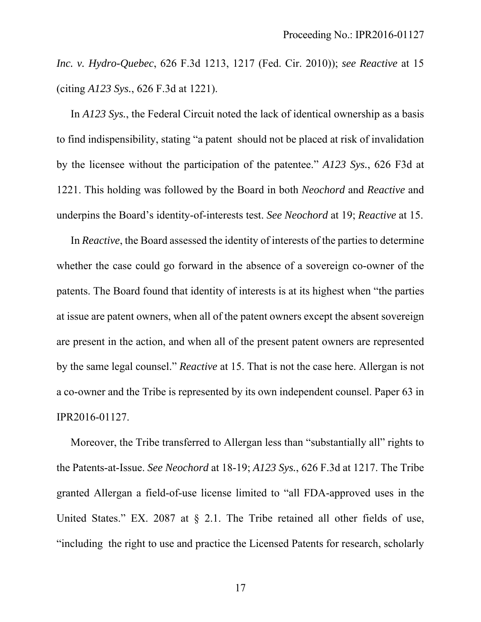*Inc. v. Hydro-Quebec*, 626 F.3d 1213, 1217 (Fed. Cir. 2010)); *see Reactive* at 15 (citing *A123 Sys.*, 626 F.3d at 1221).

In *A123 Sys.*, the Federal Circuit noted the lack of identical ownership as a basis to find indispensibility, stating "a patent should not be placed at risk of invalidation by the licensee without the participation of the patentee." *A123 Sys.*, 626 F3d at 1221. This holding was followed by the Board in both *Neochord* and *Reactive* and underpins the Board's identity-of-interests test. *See Neochord* at 19; *Reactive* at 15.

In *Reactive*, the Board assessed the identity of interests of the parties to determine whether the case could go forward in the absence of a sovereign co-owner of the patents. The Board found that identity of interests is at its highest when "the parties at issue are patent owners, when all of the patent owners except the absent sovereign are present in the action, and when all of the present patent owners are represented by the same legal counsel." *Reactive* at 15. That is not the case here. Allergan is not a co-owner and the Tribe is represented by its own independent counsel. Paper 63 in IPR2016-01127.

Moreover, the Tribe transferred to Allergan less than "substantially all" rights to the Patents-at-Issue. *See Neochord* at 18-19; *A123 Sys.*, 626 F.3d at 1217. The Tribe granted Allergan a field-of-use license limited to "all FDA-approved uses in the United States." EX. 2087 at  $\S$  2.1. The Tribe retained all other fields of use, "including the right to use and practice the Licensed Patents for research, scholarly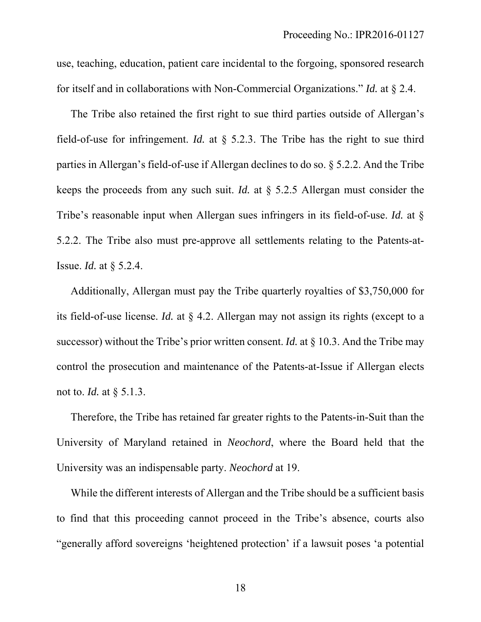use, teaching, education, patient care incidental to the forgoing, sponsored research for itself and in collaborations with Non-Commercial Organizations." *Id.* at § 2.4.

The Tribe also retained the first right to sue third parties outside of Allergan's field-of-use for infringement. *Id.* at § 5.2.3. The Tribe has the right to sue third parties in Allergan's field-of-use if Allergan declines to do so. § 5.2.2. And the Tribe keeps the proceeds from any such suit. *Id.* at § 5.2.5 Allergan must consider the Tribe's reasonable input when Allergan sues infringers in its field-of-use. *Id.* at § 5.2.2. The Tribe also must pre-approve all settlements relating to the Patents-at-Issue. *Id.* at § 5.2.4.

Additionally, Allergan must pay the Tribe quarterly royalties of \$3,750,000 for its field-of-use license. *Id.* at § 4.2. Allergan may not assign its rights (except to a successor) without the Tribe's prior written consent. *Id.* at § 10.3. And the Tribe may control the prosecution and maintenance of the Patents-at-Issue if Allergan elects not to. *Id.* at § 5.1.3.

Therefore, the Tribe has retained far greater rights to the Patents-in-Suit than the University of Maryland retained in *Neochord*, where the Board held that the University was an indispensable party. *Neochord* at 19.

While the different interests of Allergan and the Tribe should be a sufficient basis to find that this proceeding cannot proceed in the Tribe's absence, courts also "generally afford sovereigns 'heightened protection' if a lawsuit poses 'a potential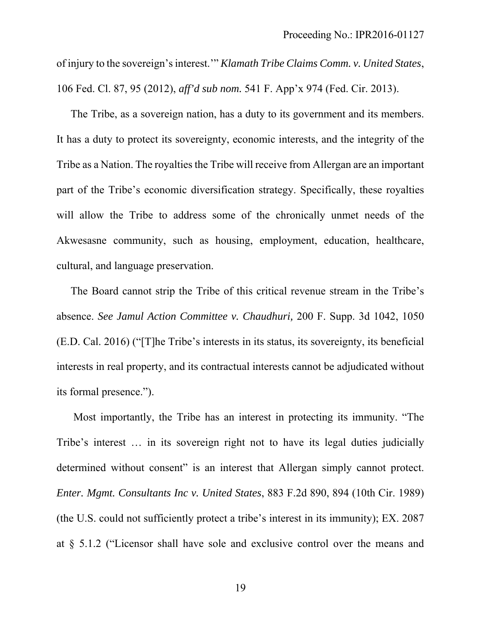of injury to the sovereign's interest.'" *Klamath Tribe Claims Comm. v. United States*, 106 Fed. Cl. 87, 95 (2012), *aff'd sub nom.* 541 F. App'x 974 (Fed. Cir. 2013).

The Tribe, as a sovereign nation, has a duty to its government and its members. It has a duty to protect its sovereignty, economic interests, and the integrity of the Tribe as a Nation. The royalties the Tribe will receive from Allergan are an important part of the Tribe's economic diversification strategy. Specifically, these royalties will allow the Tribe to address some of the chronically unmet needs of the Akwesasne community, such as housing, employment, education, healthcare, cultural, and language preservation.

The Board cannot strip the Tribe of this critical revenue stream in the Tribe's absence. *See Jamul Action Committee v. Chaudhuri,* 200 F. Supp. 3d 1042, 1050 (E.D. Cal. 2016) ("[T]he Tribe's interests in its status, its sovereignty, its beneficial interests in real property, and its contractual interests cannot be adjudicated without its formal presence.").

 Most importantly, the Tribe has an interest in protecting its immunity. "The Tribe's interest … in its sovereign right not to have its legal duties judicially determined without consent" is an interest that Allergan simply cannot protect. *Enter. Mgmt. Consultants Inc v. United States*, 883 F.2d 890, 894 (10th Cir. 1989) (the U.S. could not sufficiently protect a tribe's interest in its immunity); EX. 2087 at § 5.1.2 ("Licensor shall have sole and exclusive control over the means and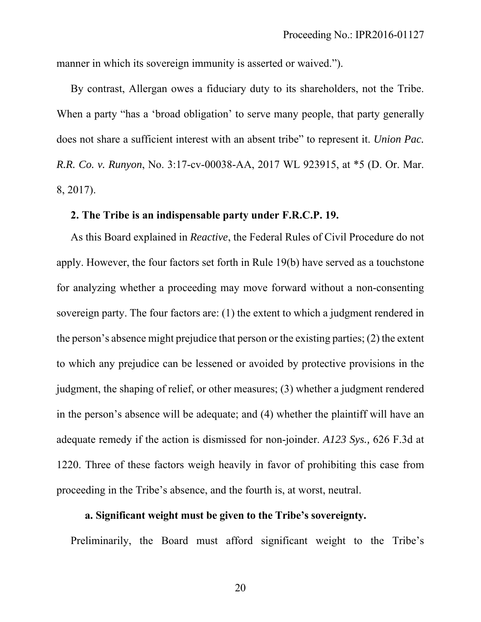manner in which its sovereign immunity is asserted or waived.").

By contrast, Allergan owes a fiduciary duty to its shareholders, not the Tribe. When a party "has a 'broad obligation' to serve many people, that party generally does not share a sufficient interest with an absent tribe" to represent it. *Union Pac. R.R. Co. v. Runyon*, No. 3:17-cv-00038-AA, 2017 WL 923915, at \*5 (D. Or. Mar. 8, 2017).

## **2. The Tribe is an indispensable party under F.R.C.P. 19.**

As this Board explained in *Reactive*, the Federal Rules of Civil Procedure do not apply. However, the four factors set forth in Rule 19(b) have served as a touchstone for analyzing whether a proceeding may move forward without a non-consenting sovereign party. The four factors are: (1) the extent to which a judgment rendered in the person's absence might prejudice that person or the existing parties; (2) the extent to which any prejudice can be lessened or avoided by protective provisions in the judgment, the shaping of relief, or other measures; (3) whether a judgment rendered in the person's absence will be adequate; and (4) whether the plaintiff will have an adequate remedy if the action is dismissed for non-joinder. *A123 Sys.,* 626 F.3d at 1220. Three of these factors weigh heavily in favor of prohibiting this case from proceeding in the Tribe's absence, and the fourth is, at worst, neutral.

### **a. Significant weight must be given to the Tribe's sovereignty.**

Preliminarily, the Board must afford significant weight to the Tribe's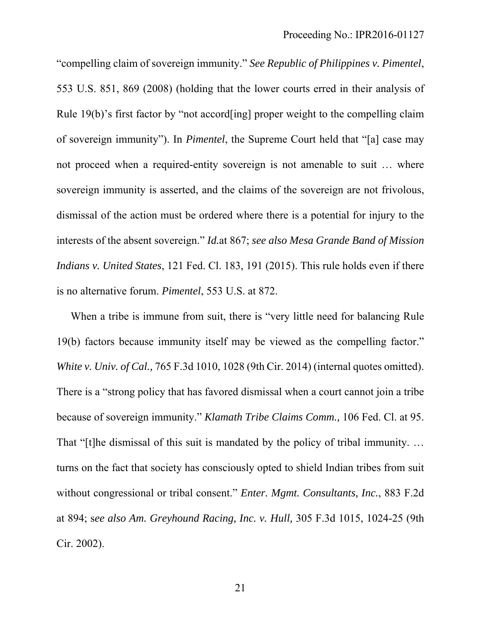"compelling claim of sovereign immunity." *See Republic of Philippines v. Pimentel*, 553 U.S. 851, 869 (2008) (holding that the lower courts erred in their analysis of Rule 19(b)'s first factor by "not accord[ing] proper weight to the compelling claim of sovereign immunity"). In *Pimentel*, the Supreme Court held that "[a] case may not proceed when a required-entity sovereign is not amenable to suit … where sovereign immunity is asserted, and the claims of the sovereign are not frivolous, dismissal of the action must be ordered where there is a potential for injury to the interests of the absent sovereign." *Id.*at 867; *see also Mesa Grande Band of Mission Indians v. United States*, 121 Fed. Cl. 183, 191 (2015). This rule holds even if there is no alternative forum. *Pimentel*, 553 U.S. at 872.

When a tribe is immune from suit, there is "very little need for balancing Rule 19(b) factors because immunity itself may be viewed as the compelling factor." *White v. Univ. of Cal.,* 765 F.3d 1010, 1028 (9th Cir. 2014) (internal quotes omitted). There is a "strong policy that has favored dismissal when a court cannot join a tribe because of sovereign immunity." *Klamath Tribe Claims Comm.,* 106 Fed. Cl. at 95. That "[t]he dismissal of this suit is mandated by the policy of tribal immunity. ... turns on the fact that society has consciously opted to shield Indian tribes from suit without congressional or tribal consent." *Enter. Mgmt. Consultants, Inc.*, 883 F.2d at 894; s*ee also Am. Greyhound Racing, Inc. v. Hull,* 305 F.3d 1015, 1024-25 (9th Cir. 2002).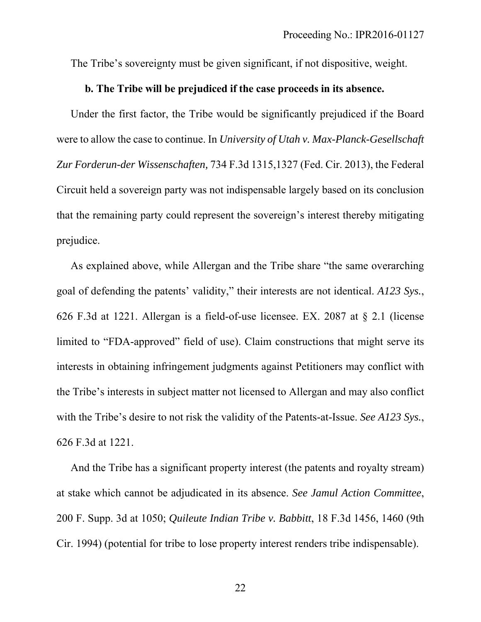The Tribe's sovereignty must be given significant, if not dispositive, weight.

## **b. The Tribe will be prejudiced if the case proceeds in its absence.**

Under the first factor, the Tribe would be significantly prejudiced if the Board were to allow the case to continue. In *University of Utah v. Max-Planck-Gesellschaft Zur Forderun-der Wissenschaften,* 734 F.3d 1315,1327 (Fed. Cir. 2013), the Federal Circuit held a sovereign party was not indispensable largely based on its conclusion that the remaining party could represent the sovereign's interest thereby mitigating prejudice.

As explained above, while Allergan and the Tribe share "the same overarching goal of defending the patents' validity," their interests are not identical. *A123 Sys.*, 626 F.3d at 1221. Allergan is a field-of-use licensee. EX. 2087 at § 2.1 (license limited to "FDA-approved" field of use). Claim constructions that might serve its interests in obtaining infringement judgments against Petitioners may conflict with the Tribe's interests in subject matter not licensed to Allergan and may also conflict with the Tribe's desire to not risk the validity of the Patents-at-Issue. *See A123 Sys.*, 626 F.3d at 1221.

And the Tribe has a significant property interest (the patents and royalty stream) at stake which cannot be adjudicated in its absence. *See Jamul Action Committee*, 200 F. Supp. 3d at 1050; *Quileute Indian Tribe v. Babbitt*, 18 F.3d 1456, 1460 (9th Cir. 1994) (potential for tribe to lose property interest renders tribe indispensable).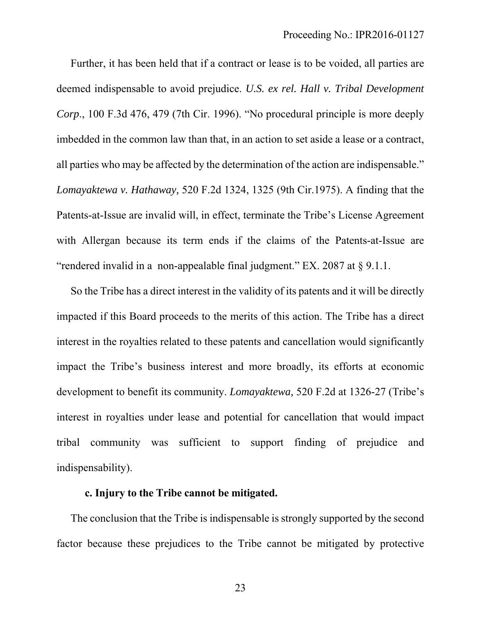Further, it has been held that if a contract or lease is to be voided, all parties are deemed indispensable to avoid prejudice. *U.S. ex rel. Hall v. Tribal Development Corp*., 100 F.3d 476, 479 (7th Cir. 1996). "No procedural principle is more deeply imbedded in the common law than that, in an action to set aside a lease or a contract, all parties who may be affected by the determination of the action are indispensable." *Lomayaktewa v. Hathaway,* 520 F.2d 1324, 1325 (9th Cir.1975). A finding that the Patents-at-Issue are invalid will, in effect, terminate the Tribe's License Agreement with Allergan because its term ends if the claims of the Patents-at-Issue are "rendered invalid in a non-appealable final judgment." EX. 2087 at § 9.1.1.

So the Tribe has a direct interest in the validity of its patents and it will be directly impacted if this Board proceeds to the merits of this action. The Tribe has a direct interest in the royalties related to these patents and cancellation would significantly impact the Tribe's business interest and more broadly, its efforts at economic development to benefit its community. *Lomayaktewa,* 520 F.2d at 1326-27 (Tribe's interest in royalties under lease and potential for cancellation that would impact tribal community was sufficient to support finding of prejudice and indispensability).

### **c. Injury to the Tribe cannot be mitigated.**

The conclusion that the Tribe is indispensable is strongly supported by the second factor because these prejudices to the Tribe cannot be mitigated by protective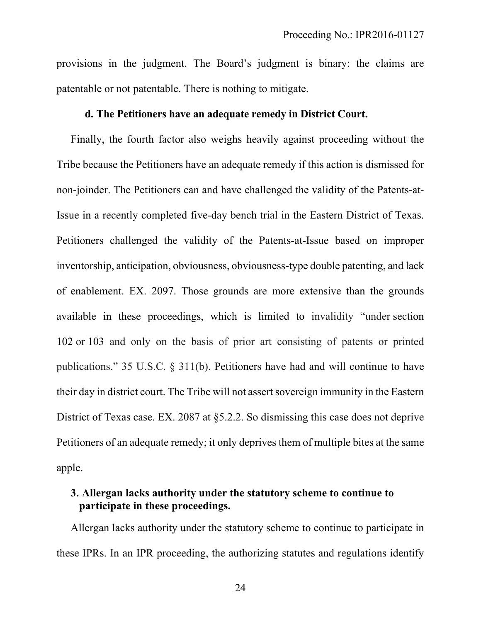provisions in the judgment. The Board's judgment is binary: the claims are patentable or not patentable. There is nothing to mitigate.

### **d. The Petitioners have an adequate remedy in District Court.**

Finally, the fourth factor also weighs heavily against proceeding without the Tribe because the Petitioners have an adequate remedy if this action is dismissed for non-joinder. The Petitioners can and have challenged the validity of the Patents-at-Issue in a recently completed five-day bench trial in the Eastern District of Texas. Petitioners challenged the validity of the Patents-at-Issue based on improper inventorship, anticipation, obviousness, obviousness-type double patenting, and lack of enablement. EX. 2097. Those grounds are more extensive than the grounds available in these proceedings, which is limited to invalidity "under section 102 or 103 and only on the basis of prior art consisting of patents or printed publications." 35 U.S.C. § 311(b). Petitioners have had and will continue to have their day in district court. The Tribe will not assert sovereign immunity in the Eastern District of Texas case. EX. 2087 at §5.2.2. So dismissing this case does not deprive Petitioners of an adequate remedy; it only deprives them of multiple bites at the same apple.

# **3. Allergan lacks authority under the statutory scheme to continue to participate in these proceedings.**

Allergan lacks authority under the statutory scheme to continue to participate in these IPRs. In an IPR proceeding, the authorizing statutes and regulations identify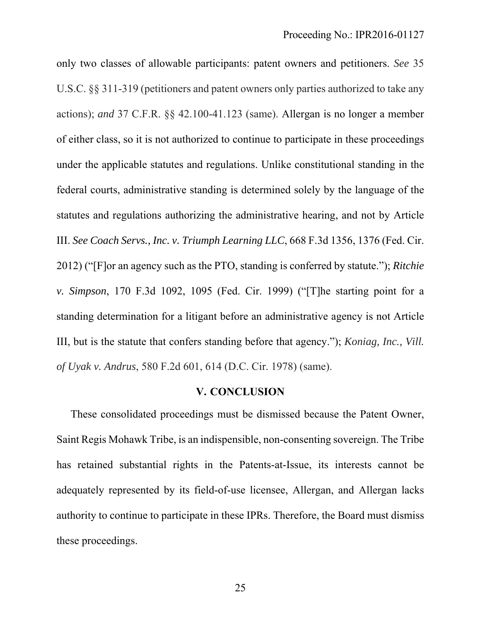only two classes of allowable participants: patent owners and petitioners. *See* 35 U.S.C. §§ 311-319 (petitioners and patent owners only parties authorized to take any actions); *and* 37 C.F.R. §§ 42.100-41.123 (same). Allergan is no longer a member of either class, so it is not authorized to continue to participate in these proceedings under the applicable statutes and regulations. Unlike constitutional standing in the federal courts, administrative standing is determined solely by the language of the statutes and regulations authorizing the administrative hearing, and not by Article III. *See Coach Servs., Inc. v. Triumph Learning LLC*, 668 F.3d 1356, 1376 (Fed. Cir. 2012) ("[F]or an agency such as the PTO, standing is conferred by statute."); *Ritchie v. Simpson*, 170 F.3d 1092, 1095 (Fed. Cir. 1999) ("[T]he starting point for a standing determination for a litigant before an administrative agency is not Article III, but is the statute that confers standing before that agency."); *Koniag, Inc., Vill. of Uyak v. Andrus*, 580 F.2d 601, 614 (D.C. Cir. 1978) (same).

### **V. CONCLUSION**

These consolidated proceedings must be dismissed because the Patent Owner, Saint Regis Mohawk Tribe, is an indispensible, non-consenting sovereign. The Tribe has retained substantial rights in the Patents-at-Issue, its interests cannot be adequately represented by its field-of-use licensee, Allergan, and Allergan lacks authority to continue to participate in these IPRs. Therefore, the Board must dismiss these proceedings.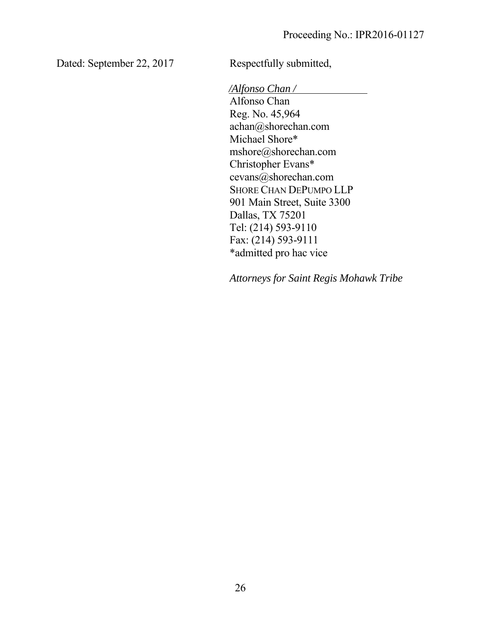Dated: September 22, 2017 Respectfully submitted,

*/Alfonso Chan /*

Alfonso Chan Reg. No. 45,964 achan@shorechan.com Michael Shore\* mshore@shorechan.com Christopher Evans\* cevans@shorechan.com SHORE CHAN DEPUMPO LLP 901 Main Street, Suite 3300 Dallas, TX 75201 Tel: (214) 593-9110 Fax: (214) 593-9111 \*admitted pro hac vice

*Attorneys for Saint Regis Mohawk Tribe*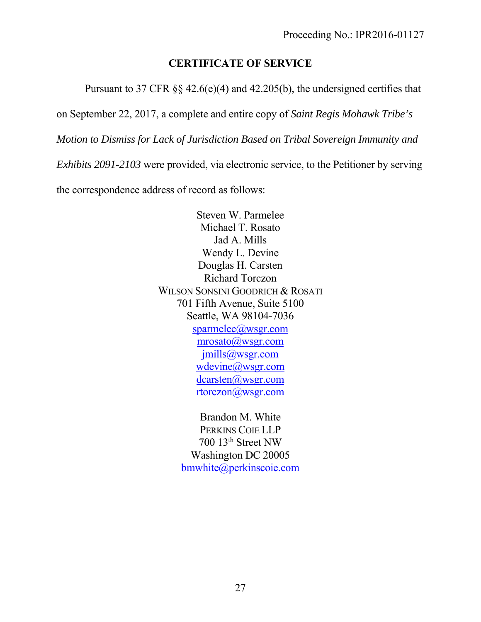# **CERTIFICATE OF SERVICE**

Pursuant to 37 CFR §§ 42.6(e)(4) and 42.205(b), the undersigned certifies that

on September 22, 2017, a complete and entire copy of *Saint Regis Mohawk Tribe's* 

*Motion to Dismiss for Lack of Jurisdiction Based on Tribal Sovereign Immunity and* 

*Exhibits 2091-2103* were provided, via electronic service, to the Petitioner by serving

the correspondence address of record as follows:

Steven W. Parmelee Michael T. Rosato Jad A. Mills Wendy L. Devine Douglas H. Carsten Richard Torczon WILSON SONSINI GOODRICH & ROSATI 701 Fifth Avenue, Suite 5100 Seattle, WA 98104-7036 sparmelee@wsgr.com mrosato@wsgr.com jmills@wsgr.com wdevine@wsgr.com dcarsten@wsgr.com rtorczon@wsgr.com

> Brandon M. White PERKINS COIE LLP 700 13th Street NW Washington DC 20005 bmwhite@perkinscoie.com